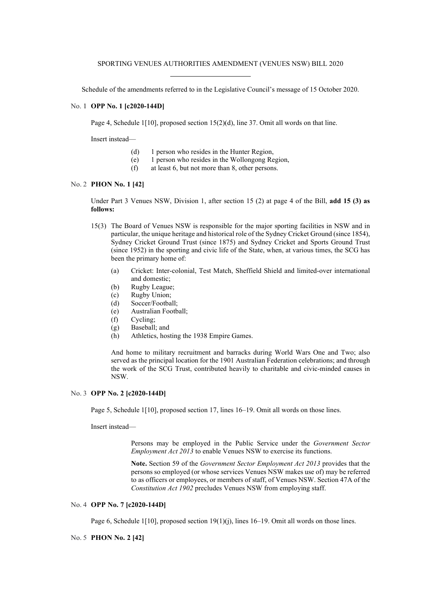Schedule of the amendments referred to in the Legislative Council's message of 15 October 2020.

### No. 1 **OPP No. 1 [c2020-144D]**

Page 4, Schedule 1[10], proposed section  $15(2)(d)$ , line 37. Omit all words on that line.

Insert instead—

- (d) 1 person who resides in the Hunter Region,
- (e) 1 person who resides in the Wollongong Region,
- $(f)$  at least 6, but not more than 8, other persons.

# No. 2 **PHON No. 1 [42]**

Under Part 3 Venues NSW, Division 1, after section 15 (2) at page 4 of the Bill, **add 15 (3) as follows:**

- 15(3) The Board of Venues NSW is responsible for the major sporting facilities in NSW and in particular, the unique heritage and historical role of the Sydney Cricket Ground (since 1854), Sydney Cricket Ground Trust (since 1875) and Sydney Cricket and Sports Ground Trust (since 1952) in the sporting and civic life of the State, when, at various times, the SCG has been the primary home of:
	- (a) Cricket: Inter-colonial, Test Match, Sheffield Shield and limited-over international and domestic;
	- (b) Rugby League;
	- (c) Rugby Union;
	- (d) Soccer/Football;
	- (e) Australian Football;
	- (f) Cycling;
	- (g) Baseball; and
	- (h) Athletics, hosting the 1938 Empire Games.

And home to military recruitment and barracks during World Wars One and Two; also served as the principal location for the 1901 Australian Federation celebrations; and through the work of the SCG Trust, contributed heavily to charitable and civic-minded causes in NSW.

# No. 3 **OPP No. 2 [c2020-144D]**

Page 5, Schedule 1[10], proposed section 17, lines 16–19. Omit all words on those lines.

Insert instead—

Persons may be employed in the Public Service under the *Government Sector Employment Act 2013* to enable Venues NSW to exercise its functions.

**Note.** Section 59 of the *Government Sector Employment Act 2013* provides that the persons so employed (or whose services Venues NSW makes use of) may be referred to as officers or employees, or members of staff, of Venues NSW. Section 47A of the *Constitution Act 1902* precludes Venues NSW from employing staff.

## No. 4 **OPP No. 7 [c2020-144D]**

Page 6, Schedule 1[10], proposed section  $19(1)(i)$ , lines 16–19. Omit all words on those lines.

# No. 5 **PHON No. 2 [42]**